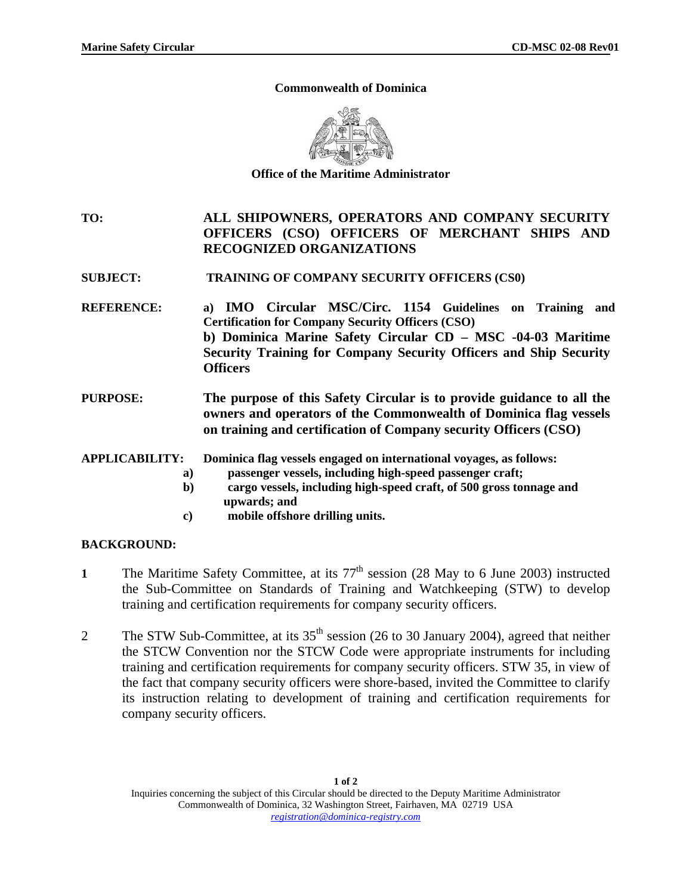## **Commonwealth of Dominica**



**Office of the Maritime Administrator** 

- **TO: ALL SHIPOWNERS, OPERATORS AND COMPANY SECURITY OFFICERS (CSO) OFFICERS OF MERCHANT SHIPS AND RECOGNIZED ORGANIZATIONS**
- **SUBJECT: TRAINING OF COMPANY SECURITY OFFICERS (CS0)**
- **REFERENCE: a) IMO Circular MSC/Circ. 1154 Guidelines on Training and Certification for Company Security Officers (CSO) b) Dominica Marine Safety Circular CD – MSC -04-03 Maritime Security Training for Company Security Officers and Ship Security Officers**
- **PURPOSE: The purpose of this Safety Circular is to provide guidance to all the owners and operators of the Commonwealth of Dominica flag vessels on training and certification of Company security Officers (CSO)**

**APPLICABILITY: Dominica flag vessels engaged on international voyages, as follows:** 

- **a) passenger vessels, including high-speed passenger craft;**
- **b) cargo vessels, including high-speed craft, of 500 gross tonnage and upwards; and**
- **c) mobile offshore drilling units.**

## **BACKGROUND:**

- 1 The Maritime Safety Committee, at its  $77<sup>th</sup>$  session (28 May to 6 June 2003) instructed the Sub-Committee on Standards of Training and Watchkeeping (STW) to develop training and certification requirements for company security officers.
- 2 The STW Sub-Committee, at its 35<sup>th</sup> session (26 to 30 January 2004), agreed that neither the STCW Convention nor the STCW Code were appropriate instruments for including training and certification requirements for company security officers. STW 35, in view of the fact that company security officers were shore-based, invited the Committee to clarify its instruction relating to development of training and certification requirements for company security officers.